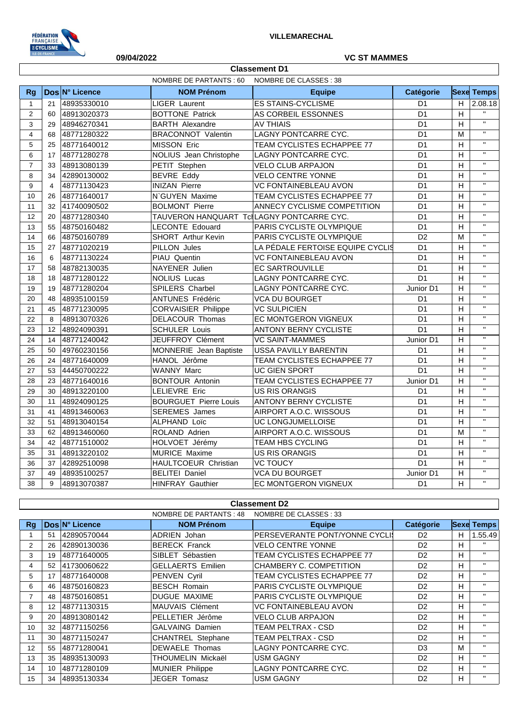

# **09/04/2022 VC ST MAMMES**

|                | <b>Classement D1</b> |                |                                           |                                  |                 |                           |                         |  |
|----------------|----------------------|----------------|-------------------------------------------|----------------------------------|-----------------|---------------------------|-------------------------|--|
|                |                      |                | NOMBRE DE PARTANTS : 60                   | NOMBRE DE CLASSES : 38           |                 |                           |                         |  |
| Rg             |                      | Dos N° Licence | <b>NOM Prénom</b>                         | <b>Equipe</b>                    | Catégorie       |                           | <b>Sexe Temps</b>       |  |
| $\mathbf{1}$   | 21                   | 48935330010    | <b>LIGER Laurent</b>                      | <b>ES STAINS-CYCLISME</b>        | D <sub>1</sub>  | H                         | 2.08.18                 |  |
| 2              | 60                   | 48913020373    | <b>BOTTONE Patrick</b>                    | AS CORBEIL ESSONNES              | D <sub>1</sub>  | H                         | $\mathbf{H}$            |  |
| 3              | 29                   | 48946270341    | <b>BARTH Alexandre</b>                    | <b>AV THIAIS</b>                 | D <sub>1</sub>  | $\boldsymbol{\mathsf{H}}$ | $\overline{u}$          |  |
| 4              | 68                   | 48771280322    | <b>BRACONNOT Valentin</b>                 | LAGNY PONTCARRE CYC.             | D <sub>1</sub>  |                           | $\overline{u}$          |  |
| 5              | 25                   | 48771640012    | MISSON Eric                               | TEAM CYCLISTES ECHAPPEE 77       | D <sub>1</sub>  | H                         | $\mathbf{u}$            |  |
| 6              | 17                   | 48771280278    | NOLIUS Jean Christophe                    | LAGNY PONTCARRE CYC.             | $\overline{D1}$ | H                         | $\mathbf{u}$            |  |
| $\overline{7}$ | 33                   | 48913080139    | PETIT Stephen                             | <b>VELO CLUB ARPAJON</b>         | D <sub>1</sub>  | H                         | $\overline{\mathbf{u}}$ |  |
| 8              | 34                   | 42890130002    | <b>BEVRE Eddy</b>                         | <b>VELO CENTRE YONNE</b>         | D <sub>1</sub>  | H                         | $\mathbf{H}$            |  |
| 9              | $\overline{4}$       | 48771130423    | <b>INIZAN Pierre</b>                      | <b>VC FONTAINEBLEAU AVON</b>     | D <sub>1</sub>  | $\boldsymbol{\mathsf{H}}$ | $\overline{\mathbf{u}}$ |  |
| 10             | 26                   | 48771640017    | N`GUYEN Maxime                            | TEAM CYCLISTES ECHAPPEE 77       | D <sub>1</sub>  | H                         | $\mathbf{H}$            |  |
| 11             | 32                   | 41740090502    | <b>BOLMONT Pierre</b>                     | ANNECY CYCLISME COMPETITION      | D <sub>1</sub>  | H                         | $\mathbf{H}$            |  |
| 12             | 20                   | 48771280340    | TAUVERON HANQUART TclLAGNY PONTCARRE CYC. |                                  | $\overline{D1}$ | H                         | $\mathbf{H}$            |  |
| 13             | 55                   | 48750160482    | <b>LECONTE Edouard</b>                    | PARIS CYCLISTE OLYMPIQUE         | D <sub>1</sub>  | H                         | $\mathbf{H}$            |  |
| 14             | 66                   | 48750160789    | <b>SHORT</b> Arthur Kevin                 | PARIS CYCLISTE OLYMPIQUE         | D <sub>2</sub>  | M                         | $\mathbf{H}$            |  |
| 15             | 27                   | 48771020219    | PILLON Jules                              | LA PÉDALE FERTOISE EQUIPE CYCLIS | $\overline{D1}$ | H                         | $\overline{\mathbf{u}}$ |  |
| 16             | 6                    | 48771130224    | PIAU Quentin                              | VC FONTAINEBLEAU AVON            | D <sub>1</sub>  | $\boldsymbol{\mathsf{H}}$ | $\mathbf{u}$            |  |
| 17             | 58                   | 48782130035    | NAYENER Julien                            | <b>EC SARTROUVILLE</b>           | D <sub>1</sub>  | H                         | $\overline{u}$          |  |
| 18             | 18                   | 48771280122    | <b>NOLIUS Lucas</b>                       | LAGNY PONTCARRE CYC.             | $\overline{D1}$ | $\boldsymbol{\mathsf{H}}$ | $\mathbf{u}$            |  |
| 19             | 19                   | 48771280204    | SPILERS Charbel                           | LAGNY PONTCARRE CYC.             | Junior D1       | H                         | $\mathbf{H}$            |  |
| 20             | 48                   | 48935100159    | <b>ANTUNES Frédéric</b>                   | <b>VCA DU BOURGET</b>            | D <sub>1</sub>  | $\overline{H}$            | $\mathbf{H}$            |  |
| 21             | 45                   | 48771230095    | <b>CORVAISIER Philippe</b>                | <b>VC SULPICIEN</b>              | $\overline{D1}$ | $\overline{H}$            | $\overline{\mathbf{u}}$ |  |
| 22             | 8                    | 48913070326    | DELACOUR Thomas                           | <b>EC MONTGERON VIGNEUX</b>      | D <sub>1</sub>  | H                         | $\mathbf{H}$            |  |
| 23             | 12                   | 48924090391    | <b>SCHULER Louis</b>                      | <b>ANTONY BERNY CYCLISTE</b>     | D <sub>1</sub>  | H                         | $\mathbf{H}$            |  |
| 24             | 14                   | 48771240042    | JEUFFROY Clément                          | <b>VC SAINT-MAMMES</b>           | Junior D1       | H                         | $\mathbf{H}$            |  |
| 25             | 50                   | 49760230156    | MONNERIE Jean Baptiste                    | <b>USSA PAVILLY BARENTIN</b>     | D <sub>1</sub>  | H                         | $\mathbf{H}$            |  |
| 26             | 24                   | 48771640009    | HANOL Jérôme                              | TEAM CYCLISTES ECHAPPEE 77       | $\overline{D1}$ | $\overline{H}$            | $\mathbf{u}$            |  |
| 27             | 53                   | 44450700222    | <b>WANNY Marc</b>                         | <b>UC GIEN SPORT</b>             | $\overline{D1}$ | $\overline{H}$            | $\overline{\mathbf{u}}$ |  |
| 28             | 23                   | 48771640016    | <b>BONTOUR Antonin</b>                    | TEAM CYCLISTES ECHAPPEE 77       | Junior D1       | H                         | $\mathbf{H}$            |  |
| 29             | 30                   | 48913220100    | LELIEVRE Eric                             | <b>US RIS ORANGIS</b>            | D <sub>1</sub>  | H                         | $\mathbf{H}$            |  |
| 30             | 11                   | 48924090125    | <b>BOURGUET Pierre Louis</b>              | <b>ANTONY BERNY CYCLISTE</b>     | $\overline{D1}$ | $\overline{H}$            | $\mathbf{u}$            |  |
| 31             | 41                   | 48913460063    | <b>SEREMES</b> James                      | AIRPORT A.O.C. WISSOUS           | D <sub>1</sub>  | H                         | $\mathbf{H}$            |  |
| 32             | 51                   | 48913040154    | <b>ALPHAND Loïc</b>                       | UC LONGJUMELLOISE                | $\overline{D1}$ | H                         | $\overline{\mathbf{u}}$ |  |
| 33             | 62                   | 48913460060    | ROLAND Adrien                             | AIRPORT A.O.C. WISSOUS           | D <sub>1</sub>  | M                         | $\overline{\mathbf{u}}$ |  |
| 34             | 42                   | 48771510002    | HOLVOET Jérémy                            | <b>TEAM HBS CYCLING</b>          | D <sub>1</sub>  | H                         | $\mathbf{H}$            |  |
| 35             | 31                   | 48913220102    | <b>MURICE Maxime</b>                      | <b>US RIS ORANGIS</b>            | $\overline{D1}$ | H                         | $\mathbf{u}$            |  |
| 36             | 37                   | 42892510098    | HAULTCOEUR Christian                      | <b>VC TOUCY</b>                  | D <sub>1</sub>  | H                         | $\mathbf{H}$            |  |
| 37             | 49                   | 48935100257    | <b>BELITEI Daniel</b>                     | <b>VCA DU BOURGET</b>            | Junior D1       | H                         | $\mathbf{H}$            |  |
| 38             | 9                    | 48913070387    | <b>HINFRAY Gauthier</b>                   | EC MONTGERON VIGNEUX             | D <sub>1</sub>  | H                         | $\mathbf{H}$            |  |

**Classement D2**

| NOMBRE DE PARTANTS : 48<br>NOMBRE DE CLASSES : 33 |                   |                |                          |                                   |                |   |                   |
|---------------------------------------------------|-------------------|----------------|--------------------------|-----------------------------------|----------------|---|-------------------|
| Rq                                                |                   | Dos N° Licence | <b>NOM Prénom</b>        | <b>Equipe</b>                     | Catégorie      |   | <b>Sexe Temps</b> |
|                                                   | 51                | 42890570044    | <b>ADRIEN Johan</b>      | PERSEVERANTE PONT/YONNE CYCLI     | D <sub>2</sub> | н | 1.55.49           |
| 2                                                 | 26                | 42890130036    | <b>BERECK Franck</b>     | <b>VELO CENTRE YONNE</b>          | D <sub>2</sub> | н | $\mathbf{H}$      |
| 3                                                 | 19                | 48771640005    | SIBLET Sébastien         | <b>TEAM CYCLISTES ECHAPPEE 77</b> | D <sub>2</sub> | н | $\mathbf{H}$      |
| 4                                                 | 52                | 41730060622    | <b>GELLAERTS Emilien</b> | CHAMBERY C. COMPETITION           | D <sub>2</sub> | H | $\mathbf{H}$      |
| 5                                                 | 17                | 48771640008    | <b>PENVEN Cyril</b>      | <b>TEAM CYCLISTES ECHAPPEE 77</b> | D <sub>2</sub> | н | $\mathbf{H}$      |
| 6                                                 | 46                | 48750160823    | <b>BESCH Romain</b>      | <b>PARIS CYCLISTE OLYMPIQUE</b>   | D <sub>2</sub> | н | $\mathbf{H}$      |
| $\overline{7}$                                    | 48                | 48750160851    | <b>DUGUE MAXIME</b>      | <b>PARIS CYCLISTE OLYMPIQUE</b>   | D <sub>2</sub> | н | $\mathbf{H}$      |
| 8                                                 | $12 \overline{ }$ | 48771130315    | MAUVAIS Clément          | <b>VC FONTAINEBLEAU AVON</b>      | D <sub>2</sub> | н | $\mathbf{H}$      |
| 9                                                 | 20                | 48913080142    | PELLETIER Jérôme         | <b>VELO CLUB ARPAJON</b>          | D <sub>2</sub> | H | $\mathbf{H}$      |
| 10                                                | 32                | 48771150256    | <b>GALVAING Damien</b>   | <b>TEAM PELTRAX - CSD</b>         | D <sub>2</sub> | н | $\mathbf{H}$      |
| 11                                                | 30                | 48771150247    | <b>CHANTREL Stephane</b> | TEAM PELTRAX - CSD                | D <sub>2</sub> | н | $\mathbf{H}$      |
| 12                                                | 55                | 48771280041    | <b>DEWAELE Thomas</b>    | LAGNY PONTCARRE CYC.              | D <sub>3</sub> | м | $\mathbf{H}$      |
| 13                                                | 35                | 48935130093    | THOUMELIN Mickaël        | <b>USM GAGNY</b>                  | D <sub>2</sub> | н | $\mathbf{H}$      |
| 14                                                | 10                | 48771280109    | <b>MUNIER Philippe</b>   | LAGNY PONTCARRE CYC.              | D <sub>2</sub> | H | $\mathbf{H}$      |
| 15                                                | 34                | 48935130334    | JEGER Tomasz             | <b>USM GAGNY</b>                  | D <sub>2</sub> | H | $\mathbf{H}$      |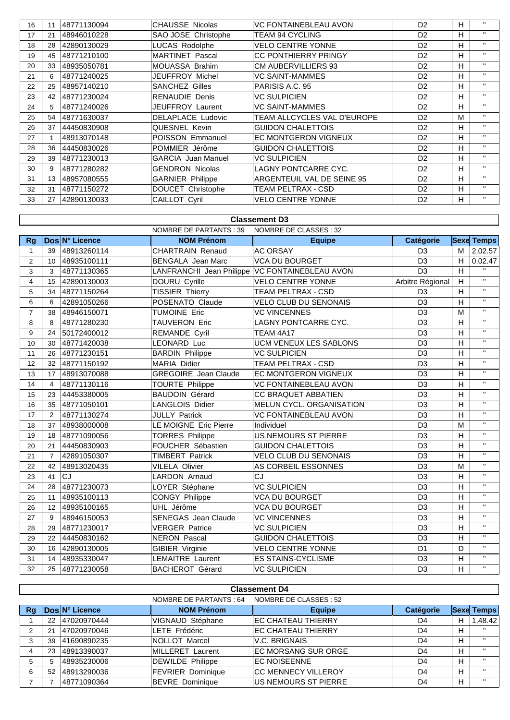| 16 | 11 | 48771130094  | <b>CHAUSSE Nicolas</b>    | <b>VC FONTAINEBLEAU AVON</b><br>D <sub>2</sub> |                | H  | $\mathbf{H}$ |
|----|----|--------------|---------------------------|------------------------------------------------|----------------|----|--------------|
| 17 | 21 | 48946010228  | SAO JOSE Christophe       | TEAM 94 CYCLING                                | D <sub>2</sub> | H  | $\mathbf{H}$ |
| 18 | 28 | 42890130029  | <b>LUCAS Rodolphe</b>     | VELO CENTRE YONNE                              | D <sub>2</sub> | H  | $\mathbf{H}$ |
| 19 | 45 | 48771210100  | <b>MARTINET Pascal</b>    | <b>CC PONTHIERRY PRINGY</b>                    | D <sub>2</sub> | H  | $\mathbf{H}$ |
| 20 | 33 | 48935050781  | <b>MOUASSA Brahim</b>     | <b>CM AUBERVILLIERS 93</b>                     | D <sub>2</sub> | H  | $\mathbf{H}$ |
| 21 | 6  | 48771240025  | JEUFFROY Michel           | VC SAINT-MAMMES                                | D <sub>2</sub> | H  | $\mathbf{H}$ |
| 22 | 25 | 48957140210  | <b>SANCHEZ Gilles</b>     | PARISIS A.C. 95                                | D <sub>2</sub> | H  | $\mathbf{H}$ |
| 23 | 42 | 48771230024  | <b>RENAUDIE Denis</b>     | <b>VC SULPICIEN</b>                            | D <sub>2</sub> | H  | $\mathbf{H}$ |
| 24 | 5  | 48771240026  | JEUFFROY Laurent          | VC SAINT-MAMMES                                | D <sub>2</sub> | H. | $\mathbf{H}$ |
| 25 | 54 | 48771630037  | DELAPLACE Ludovic         | TEAM ALLCYCLES VAL D'EUROPE                    | D <sub>2</sub> | M  | $\mathbf{H}$ |
| 26 | 37 | 44450830908  | <b>QUESNEL Kevin</b>      | <b>GUIDON CHALETTOIS</b>                       | D <sub>2</sub> | H  | $\mathbf{H}$ |
| 27 |    | 48913070148  | POISSON Emmanuel          | EC MONTGERON VIGNEUX                           | D <sub>2</sub> | H  | $\mathbf{H}$ |
| 28 | 36 | 144450830026 | POMMIER Jérôme            | <b>GUIDON CHALETTOIS</b>                       | D <sub>2</sub> | H  | $\mathbf{H}$ |
| 29 | 39 | 48771230013  | <b>GARCIA Juan Manuel</b> | <b>VC SULPICIEN</b>                            | D <sub>2</sub> | H  | $\mathbf{H}$ |
| 30 | 9  | 48771280282  | <b>GENDRON Nicolas</b>    | LAGNY PONTCARRE CYC.                           | D <sub>2</sub> | H. | $\mathbf{H}$ |
| 31 | 13 | 48957080555  | <b>GARNIER Philippe</b>   | ARGENTEUIL VAL DE SEINE 95                     | D <sub>2</sub> | H  | $\mathbf{H}$ |
| 32 | 31 | 48771150272  | DOUCET Christophe         | TEAM PELTRAX - CSD                             | D <sub>2</sub> | H  | $\mathbf{H}$ |
| 33 | 27 | 42890130033  | <b>CAILLOT Cyril</b>      | <b>VELO CENTRE YONNE</b>                       | D <sub>2</sub> | H  | $\mathbf{H}$ |

### **Classement D3**

|                |                 |                | <b>NOMBRE DE PARTANTS: 39</b> | NOMBRE DE CLASSES : 32                         |                     |   |                   |
|----------------|-----------------|----------------|-------------------------------|------------------------------------------------|---------------------|---|-------------------|
| <b>Rg</b>      |                 | Dos N° Licence | <b>NOM Prénom</b>             | <b>Equipe</b>                                  | <b>Catégorie</b>    |   | <b>Sexe Temps</b> |
| $\mathbf{1}$   | 39              | 48913260114    | <b>CHARTRAIN Renaud</b>       | <b>AC ORSAY</b>                                | D <sub>3</sub>      | м | 2.02.57           |
| 2              | 10 <sup>°</sup> | 48935100111    | <b>BENGALA</b> Jean Marc      | <b>VCA DU BOURGET</b>                          | D <sub>3</sub>      | H | 0.02.47           |
| 3              | 3               | 48771130365    |                               | LANFRANCHI Jean Philippe VC FONTAINEBLEAU AVON | D <sub>3</sub><br>H |   | $\mathbf{H}$      |
| 4              | 15              | 42890130003    | DOURU Cyrille                 | <b>VELO CENTRE YONNE</b>                       | Arbitre Régional    | H | $\mathbf{H}$      |
| 5              | 34              | 48771150264    | <b>TISSIER Thierry</b>        | TEAM PELTRAX - CSD                             | D <sub>3</sub>      | H | $\mathbf{H}$      |
| 6              | 6               | 42891050266    | POSENATO Claude               | <b>VELO CLUB DU SENONAIS</b>                   | D <sub>3</sub>      | H | $\mathbf{H}$      |
| $\overline{7}$ | 38              | 48946150071    | <b>TUMOINE Eric</b>           | <b>VC VINCENNES</b>                            | D <sub>3</sub>      | M | $\mathbf{H}$      |
| 8              | 8               | 48771280230    | <b>TAUVERON Eric</b>          | LAGNY PONTCARRE CYC.                           | D <sub>3</sub>      | H | $\mathbf{H}$      |
| 9              | 24              | 50172400012    | REMANDE Cyril                 | TEAM 4A17                                      | D <sub>3</sub>      | H | $\mathbf{H}$      |
| 10             | 30              | 48771420038    | <b>LEONARD Luc</b>            | UCM VENEUX LES SABLONS                         | D <sub>3</sub>      | H | $\mathbf{H}$      |
| 11             | 26              | 48771230151    | <b>BARDIN Philippe</b>        | <b>VC SULPICIEN</b>                            | D <sub>3</sub>      | н | $\mathbf{H}$      |
| 12             | 32              | 48771150192    | <b>MARIA Didier</b>           | <b>TEAM PELTRAX - CSD</b>                      | D <sub>3</sub>      | H | $\mathbf{H}$      |
| 13             | 17              | 48913070088    | <b>GREGOIRE</b> Jean Claude   | <b>EC MONTGERON VIGNEUX</b>                    | D <sub>3</sub>      | н | $\mathbf{H}$      |
| 14             | $\overline{4}$  | 48771130116    | <b>TOURTE Philippe</b>        | VC FONTAINEBLEAU AVON                          | D <sub>3</sub>      | н | $\mathbf{H}$      |
| 15             | 23              | 44453380005    | <b>BAUDOIN Gérard</b>         | <b>CC BRAQUET ABBATIEN</b>                     | D <sub>3</sub>      | н | $\mathbf{H}$      |
| 16             | 35              | 48771050101    | <b>LANGLOIS Didier</b>        | MELUN CYCL. ORGANISATION<br>D <sub>3</sub>     |                     | н | $\mathbf{H}$      |
| 17             | 2               | 48771130274    | <b>JULLY Patrick</b>          | D <sub>3</sub><br>VC FONTAINEBLEAU AVON        |                     | H | $\mathbf{H}$      |
| 18             | 37              | 48938000008    | LE MOIGNE Eric Pierre         | Individuel                                     | D <sub>3</sub>      | M | $\mathbf{H}$      |
| 19             | 18              | 48771090056    | <b>TORRES Philippe</b>        | US NEMOURS ST PIERRE                           | D <sub>3</sub>      | H | $\mathbf{H}$      |
| 20             | 21              | 44450830903    | FOUCHER Sébastien             | <b>GUIDON CHALETTOIS</b>                       | D <sub>3</sub>      | н | $\mathbf{H}$      |
| 21             | $\overline{7}$  | 42891050307    | <b>TIMBERT Patrick</b>        | <b>VELO CLUB DU SENONAIS</b>                   | D <sub>3</sub>      | H | $\mathbf{H}$      |
| 22             | 42              | 48913020435    | <b>VILELA Olivier</b>         | AS CORBEIL ESSONNES                            | D <sub>3</sub>      | M | $\mathbf{H}$      |
| 23             | 41              | lcJ            | <b>LARDON Arnaud</b>          | CJ                                             | D <sub>3</sub>      | H | $\mathbf{H}$      |
| 24             | 28              | 48771230073    | LOYER Stéphane                | <b>VC SULPICIEN</b>                            | D <sub>3</sub>      | H | $\mathbf{H}$      |
| 25             | 11              | 48935100113    | <b>CONGY Philippe</b>         | <b>VCA DU BOURGET</b>                          | D <sub>3</sub>      | н | $\mathbf{H}$      |
| 26             | 12              | 48935100165    | UHL Jérôme                    | VCA DU BOURGET                                 | D <sub>3</sub>      | н | $\mathbf{H}$      |
| 27             | 9               | 48946150053    | <b>SENEGAS</b> Jean Claude    | <b>VC VINCENNES</b>                            | D <sub>3</sub>      | H | $\mathbf{H}$      |
| 28             | 29              | 48771230017    | <b>VERGER Patrice</b>         | <b>VC SULPICIEN</b>                            | D <sub>3</sub>      | H | $\mathbf{H}$      |
| 29             | 22              | 44450830162    | <b>NERON Pascal</b>           | <b>GUIDON CHALETTOIS</b>                       | D <sub>3</sub>      | H | $\mathbf{H}$      |
| 30             | 16              | 42890130005    | <b>GIBIER Virginie</b>        | <b>VELO CENTRE YONNE</b>                       | D <sub>1</sub>      | D | $\mathbf{H}$      |
| 31             | 14              | 48935330047    | <b>LEMAITRE Laurent</b>       | <b>ES STAINS-CYCLISME</b>                      | D <sub>3</sub>      | H | $\mathbf{H}$      |
| 32             | 25              | 48771230058    | <b>BACHEROT Gérard</b>        | <b>VC SULPICIEN</b>                            | D <sub>3</sub>      | H | $\mathbf{H}$      |

## **Classement D4**

|    |     |                | NOMBRE DE PARTANTS : 64 | NOMBRE DE CLASSES : 52     |           |   |                   |
|----|-----|----------------|-------------------------|----------------------------|-----------|---|-------------------|
| Rq |     | Dos N° Licence | <b>NOM Prénom</b>       | <b>Equipe</b>              | Catégorie |   | <b>Sexe Temps</b> |
|    | 22  | 47020970444    | VIGNAUD Stéphane        | <b>IEC CHATEAU THIERRY</b> | D4        | н | 1.48.42           |
|    | 21  | 47020970046    | LETE Frédéric           | <b>IEC CHATEAU THIERRY</b> | D4        | н | <b>H</b>          |
| 3  | 39  | 41690890235    | <b>NOLLOT Marcel</b>    | V.C. BRIGNAIS              | D4        | н | $\mathbf{H}$      |
| 4  | -23 | 48913390037    | MILLERET Laurent        | <b>EC MORSANG SUR ORGE</b> | D4        | н |                   |
| 5  |     | 48935230006    | <b>DEWILDE Philippe</b> | <b>EC NOISEENNE</b>        | D4        | н |                   |
| 6  | 52  | 48913290036    | FEVRIER Dominique       | <b>CC MENNECY VILLEROY</b> | D4        | н |                   |
|    |     | 48771090364    | <b>BEVRE</b> Dominique  | US NEMOURS ST PIERRE       | D4        | н | $\mathbf{H}$      |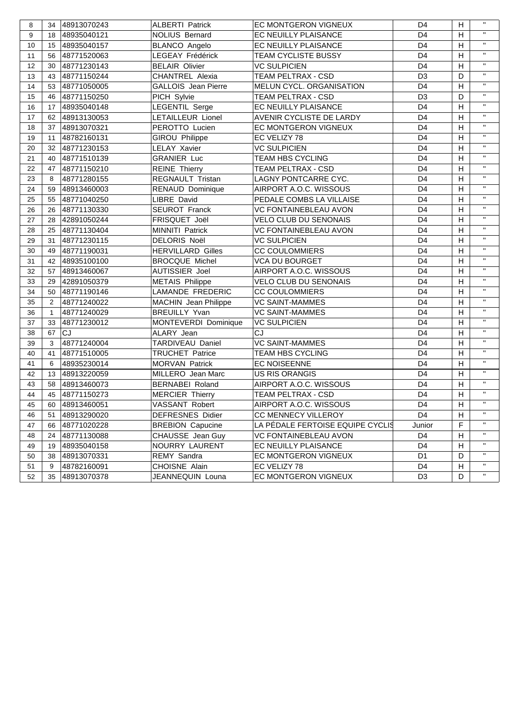| 8  |                | 34 48913070243 | <b>ALBERTI Patrick</b>      | EC MONTGERON VIGNEUX<br>H<br>D <sub>4</sub> |                     |                |              |
|----|----------------|----------------|-----------------------------|---------------------------------------------|---------------------|----------------|--------------|
| 9  | 18             | 48935040121    | <b>NOLIUS Bernard</b>       | EC NEUILLY PLAISANCE                        | H                   | $\mathbf{H}$   |              |
| 10 |                | 15 48935040157 | <b>BLANCO Angelo</b>        | EC NEUILLY PLAISANCE                        | D <sub>4</sub><br>H |                | $\mathbf{H}$ |
| 11 | 56             | 48771520063    | LEGEAY Frédérick            | TEAM CYCLISTE BUSSY                         | D <sub>4</sub><br>H |                | $\mathbf{H}$ |
| 12 | 30             | 48771230143    | <b>BELAIR Olivier</b>       | <b>VC SULPICIEN</b>                         | D <sub>4</sub>      |                | $\mathbf{H}$ |
| 13 | 43             | 48771150244    | <b>CHANTREL Alexia</b>      | TEAM PELTRAX - CSD                          | D <sub>3</sub>      | D              | $\mathbf{H}$ |
| 14 | 53             | 48771050005    | <b>GALLOIS</b> Jean Pierre  | MELUN CYCL. ORGANISATION                    | D <sub>4</sub>      | H              | $\mathbf{H}$ |
| 15 | 46             | 48771150250    | PICH Sylvie                 | <b>TEAM PELTRAX - CSD</b>                   | D <sub>3</sub>      | D              | $\mathbf{H}$ |
| 16 | 17             | 48935040148    | <b>LEGENTIL Serge</b>       | EC NEUILLY PLAISANCE                        | D <sub>4</sub>      | H              | $\mathbf{H}$ |
| 17 | 62             | 48913130053    | LETAILLEUR Lionel           | AVENIR CYCLISTE DE LARDY                    | D <sub>4</sub>      | H              | $\mathbf{H}$ |
| 18 | 37             | 48913070321    | PEROTTO Lucien              | EC MONTGERON VIGNEUX                        | D <sub>4</sub>      | H              | $\mathbf{H}$ |
| 19 | 11             | 48782160131    | GIROU Philippe              | EC VELIZY 78                                | D <sub>4</sub>      | H              | $\mathbf{H}$ |
| 20 | 32             | 48771230153    | <b>LELAY Xavier</b>         | <b>VC SULPICIEN</b>                         | D <sub>4</sub>      | H              | $\mathbf{H}$ |
| 21 | 40             | 48771510139    | <b>GRANIER Luc</b>          | <b>TEAM HBS CYCLING</b>                     | D <sub>4</sub>      | H              | $\mathbf{H}$ |
| 22 | 47             | 48771150210    | <b>REINE</b> Thierry        | TEAM PELTRAX - CSD                          | D <sub>4</sub>      | H              | $\mathbf{H}$ |
| 23 | 8              | 48771280155    | REGNAULT Tristan            | LAGNY PONTCARRE CYC.                        | D <sub>4</sub>      | H              | $\mathbf{H}$ |
| 24 | 59             | 48913460003    | RENAUD Dominique            | AIRPORT A.O.C. WISSOUS                      | D <sub>4</sub>      | H              | $\mathbf{H}$ |
| 25 | 55             | 48771040250    | LIBRE David                 | PEDALE COMBS LA VILLAISE                    | D <sub>4</sub>      | H              | $\mathbf{H}$ |
| 26 | 26             | 48771130330    | SEUROT Franck               | <b>VC FONTAINEBLEAU AVON</b>                | D <sub>4</sub>      | H              | $\mathbf{H}$ |
| 27 | 28             | 42891050244    | FRISQUET Joël               | <b>VELO CLUB DU SENONAIS</b>                | D <sub>4</sub>      | H              | $\mathbf{H}$ |
| 28 | 25             | 48771130404    | <b>MINNITI Patrick</b>      | <b>VC FONTAINEBLEAU AVON</b>                | D <sub>4</sub>      | H              | $\mathbf{H}$ |
| 29 | 31             | 48771230115    | <b>DELORIS Noël</b>         | <b>VC SULPICIEN</b>                         | D <sub>4</sub>      | H              | $\mathbf{H}$ |
| 30 | 49             | 48771190031    | <b>HERVILLARD Gilles</b>    | <b>CC COULOMMIERS</b>                       | D <sub>4</sub>      | H              | $\mathbf{H}$ |
| 31 | 42             | 48935100100    | <b>BROCQUE Michel</b>       | <b>VCA DU BOURGET</b>                       | D <sub>4</sub>      | H              | $\mathbf{H}$ |
| 32 | 57             | 48913460067    | <b>AUTISSIER Joel</b>       | AIRPORT A.O.C. WISSOUS                      | D <sub>4</sub>      | H              | $\mathbf{H}$ |
| 33 | 29             | 42891050379    | <b>METAIS Philippe</b>      | <b>VELO CLUB DU SENONAIS</b>                | D <sub>4</sub>      | H              | $\mathbf{H}$ |
| 34 | 50             | 48771190146    | LAMANDE FREDERIC            | <b>CC COULOMMIERS</b>                       | D <sub>4</sub>      | H              | $\mathbf{H}$ |
| 35 | $\overline{2}$ | 48771240022    | <b>MACHIN</b> Jean Philippe | <b>VC SAINT-MAMMES</b>                      | D <sub>4</sub>      | H              | $\mathbf{H}$ |
| 36 | $\mathbf{1}$   | 48771240029    | <b>BREUILLY Yvan</b>        | <b>VC SAINT-MAMMES</b>                      | D <sub>4</sub>      | H              | $\mathbf{H}$ |
| 37 | 33             | 48771230012    | MONTEVERDI Dominique        | <b>VC SULPICIEN</b>                         | D <sub>4</sub>      | H              | $\mathbf{H}$ |
| 38 | 67             | lcJ            | ALARY Jean                  | CJ                                          | D <sub>4</sub>      | H              | $\mathbf{H}$ |
| 39 | 3              | 48771240004    | TARDIVEAU Daniel            | <b>VC SAINT-MAMMES</b>                      | D <sub>4</sub>      | H              | $\mathbf{H}$ |
| 40 | 41             | 48771510005    | <b>TRUCHET Patrice</b>      | TEAM HBS CYCLING                            | D <sub>4</sub>      | H              | $\mathbf{H}$ |
| 41 | 6              | 48935230014    | <b>MORVAN Patrick</b>       | <b>EC NOISEENNE</b>                         | D <sub>4</sub>      | H              | $\mathbf{H}$ |
| 42 | 13             | 48913220059    | MILLERO Jean Marc           | <b>US RIS ORANGIS</b>                       | D <sub>4</sub>      | H              | $\mathbf{H}$ |
| 43 | 58             | 48913460073    | <b>BERNABEI Roland</b>      | AIRPORT A.O.C. WISSOUS                      | D <sub>4</sub>      | H              | $\mathbf{H}$ |
| 44 | 45             | 48771150273    | <b>MERCIER Thierry</b>      | <b>TEAM PELTRAX - CSD</b>                   | D <sub>4</sub>      | H              | $\mathbf{H}$ |
| 45 |                | 60 48913460051 | <b>VASSANT Robert</b>       | AIRPORT A.O.C. WISSOUS                      | D <sub>4</sub>      | $\overline{H}$ | $\mathbf{H}$ |
| 46 | 51             | 48913290020    | <b>DEFRESNES Didier</b>     | CC MENNECY VILLEROY                         | D4                  | H              | $\mathbf{H}$ |
| 47 | 66             | 48771020228    | <b>BREBION Capucine</b>     | LA PÉDALE FERTOISE EQUIPE CYCLIS            | Junior              | F              | $\mathbf{H}$ |
| 48 | 24             | 48771130088    | CHAUSSE Jean Guy            | <b>VC FONTAINEBLEAU AVON</b>                | D4                  | H              | $\mathbf{H}$ |
| 49 | 19             | 48935040158    | NOURRY LAURENT              | EC NEUILLY PLAISANCE                        | D4                  | H              | $\mathbf{H}$ |
| 50 | 38             | 48913070331    | REMY Sandra                 | EC MONTGERON VIGNEUX                        | D <sub>1</sub>      | D              | $\mathbf{H}$ |
| 51 | 9              | 48782160091    | CHOISNE Alain               | EC VELIZY 78                                | D4                  | H              | $\mathbf{H}$ |
| 52 | 35             | 48913070378    | JEANNEQUIN Louna            | EC MONTGERON VIGNEUX                        | D <sub>3</sub>      | D              | $\mathbf{H}$ |